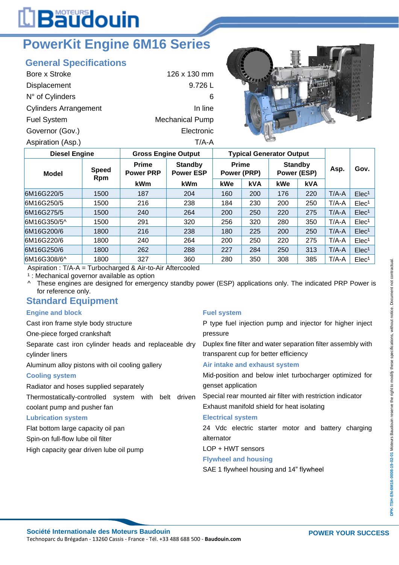# **L**Baudouin

## **PowerKit Engine 6M16 Series**

### **General Specifications**

| Bore x Stroke                | 126 x 130 mm           |
|------------------------------|------------------------|
| Displacement                 | 9.726L                 |
| N° of Cylinders              | 6                      |
| <b>Cylinders Arrangement</b> | In line                |
| <b>Fuel System</b>           | <b>Mechanical Pump</b> |
| Governor (Gov.)              | Electronic             |
| Aspiration (Asp.)            | T/A-A                  |
|                              |                        |



| <b>Diesel Engine</b> |                     |                                  | <b>Gross Engine Output</b>         |                             |            | <b>Typical Generator Output</b> |            |         |                   |
|----------------------|---------------------|----------------------------------|------------------------------------|-----------------------------|------------|---------------------------------|------------|---------|-------------------|
| Model                | <b>Speed</b><br>Rpm | <b>Prime</b><br><b>Power PRP</b> | <b>Standby</b><br><b>Power ESP</b> | <b>Prime</b><br>Power (PRP) |            | <b>Standby</b><br>Power (ESP)   |            | Asp.    | Gov.              |
|                      |                     | <b>kWm</b>                       | <b>kWm</b>                         | kWe                         | <b>kVA</b> | kWe                             | <b>kVA</b> |         |                   |
| 6M16G220/5           | 1500                | 187                              | 204                                | 160                         | 200        | 176                             | 220        | $T/A-A$ | Elec <sup>1</sup> |
| 6M16G250/5           | 1500                | 216                              | 238                                | 184                         | 230        | 200                             | 250        | $T/A-A$ | Elec <sup>1</sup> |
| 6M16G275/5           | 1500                | 240                              | 264                                | 200                         | 250        | 220                             | 275        | $T/A-A$ | Elec <sup>1</sup> |
| 6M16G350/5^          | 1500                | 291                              | 320                                | 256                         | 320        | 280                             | 350        | $T/A-A$ | Elec <sup>1</sup> |
| 6M16G200/6           | 1800                | 216                              | 238                                | 180                         | 225        | 200                             | 250        | $T/A-A$ | Elec <sup>1</sup> |
| 6M16G220/6           | 1800                | 240                              | 264                                | 200                         | 250        | 220                             | 275        | $T/A-A$ | Elec <sup>1</sup> |
| 6M16G250/6           | 1800                | 262                              | 288                                | 227                         | 284        | 250                             | 313        | $T/A-A$ | Elec <sup>1</sup> |
| 6M16G308/6^          | 1800                | 327                              | 360                                | 280                         | 350        | 308                             | 385        | $T/A-A$ | Elec <sup>1</sup> |

Aspiration : T/A-A = Turbocharged & Air-to-Air Aftercooled

<sup>1</sup> : Mechanical governor available as option

^ These engines are designed for emergency standby power (ESP) applications only. The indicated PRP Power is for reference only.

### **Standard Equipment**

| <b>Engine and block</b>                                                  | <b>Fuel system</b>                                                                                    |  |  |
|--------------------------------------------------------------------------|-------------------------------------------------------------------------------------------------------|--|--|
| Cast iron frame style body structure                                     | P type fuel injection pump and injector for higher inject                                             |  |  |
| One-piece forged crankshaft                                              | pressure                                                                                              |  |  |
| Separate cast iron cylinder heads and replaceable dry<br>cylinder liners | Duplex fine filter and water separation filter assembly with<br>transparent cup for better efficiency |  |  |
| Aluminum alloy pistons with oil cooling gallery                          | Air intake and exhaust system                                                                         |  |  |
| <b>Cooling system</b>                                                    | Mid-position and below inlet turbocharger optimized for                                               |  |  |
| Radiator and hoses supplied separately                                   | genset application                                                                                    |  |  |
| Thermostatically-controlled system with belt<br>driven                   | Special rear mounted air filter with restriction indicator                                            |  |  |
| coolant pump and pusher fan                                              | Exhaust manifold shield for heat isolating                                                            |  |  |
| <b>Lubrication system</b>                                                | <b>Electrical system</b>                                                                              |  |  |
| Flat bottom large capacity oil pan                                       | 24 Vdc electric starter motor and battery charging                                                    |  |  |
| Spin-on full-flow lube oil filter                                        | alternator                                                                                            |  |  |
| High capacity gear driven lube oil pump                                  | LOP + HWT sensors                                                                                     |  |  |
|                                                                          | <b>Flywheel and housing</b>                                                                           |  |  |

SAE 1 flywheel housing and 14" flywheel